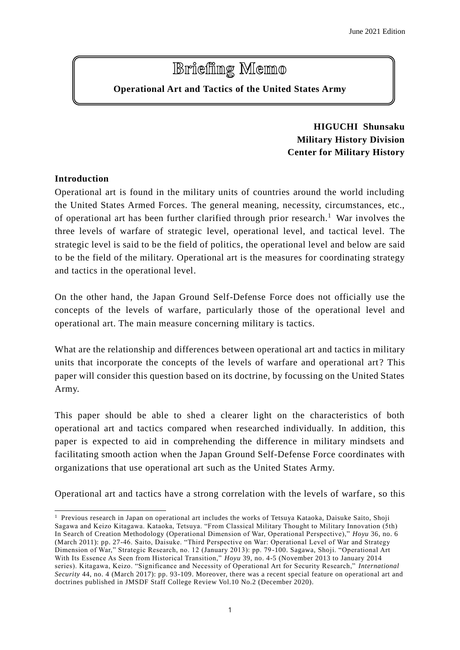# **Brieffing Memo**

# **Operational Art and Tactics of the United States Army**

# **HIGUCHI Shunsaku Military History Division Center for Military History**

## **Introduction**

l

Operational art is found in the military units of countries around the world including the United States Armed Forces. The general meaning, necessity, circumstances, etc., of operational art has been further clarified through prior research.<sup>1</sup> War involves the three levels of warfare of strategic level, operational level, and tactical level. The strategic level is said to be the field of politics, the operational level and below are said to be the field of the military. Operational art is the measures for coordinating strategy and tactics in the operational level.

On the other hand, the Japan Ground Self-Defense Force does not officially use the concepts of the levels of warfare, particularly those of the operational level and operational art. The main measure concerning military is tactics.

What are the relationship and differences between operational art and tactics in military units that incorporate the concepts of the levels of warfare and operational art ? This paper will consider this question based on its doctrine, by focussing on the United States Army.

This paper should be able to shed a clearer light on the characteristics of both operational art and tactics compared when researched individually. In addition, this paper is expected to aid in comprehending the difference in military mindsets and facilitating smooth action when the Japan Ground Self-Defense Force coordinates with organizations that use operational art such as the United States Army.

Operational art and tactics have a strong correlation with the levels of warfare , so this

 $<sup>1</sup>$  Previous research in Japan on operational art includes the works of Tetsuya Kataoka, Daisuke Saito, Shoji</sup> Sagawa and Keizo Kitagawa. Kataoka, Tetsuya. "From Classical Military Thought to Military Innovation (5th) In Search of Creation Methodology (Operational Dimension of War, Operational Perspective)," *Hoyu* 36, no. 6 (March 2011): pp. 27-46. Saito, Daisuke. "Third Perspective on War: Operational Level of War and Strategy Dimension of War," Strategic Research, no. 12 (January 2013): pp. 79 -100. Sagawa, Shoji. "Operational Art With Its Essence As Seen from Historical Transition," *Hoyu* 39, no. 4-5 (November 2013 to January 2014 series). Kitagawa, Keizo. "Significance and Necessity of Operational Art for Security Research," *International Security* 44, no. 4 (March 2017): pp. 93-109. Moreover, there was a recent special feature on operational art and doctrines published in JMSDF Staff College Review Vol.10 No.2 (December 2020).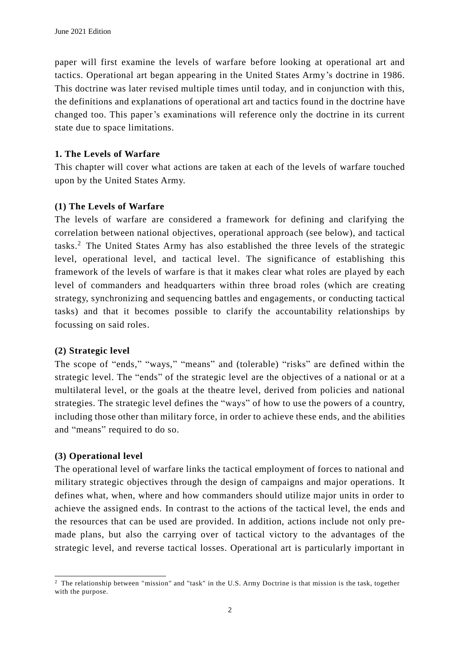paper will first examine the levels of warfare before looking at operational art and tactics. Operational art began appearing in the United States Army's doctrine in 1986. This doctrine was later revised multiple times until today, and in conjunction with this, the definitions and explanations of operational art and tactics found in the doctrine have changed too. This paper's examinations will reference only the doctrine in its current state due to space limitations.

#### **1. The Levels of Warfare**

This chapter will cover what actions are taken at each of the levels of warfare touched upon by the United States Army.

#### **(1) The Levels of Warfare**

The levels of warfare are considered a framework for defining and clarifying the correlation between national objectives, operational approach (see below), and tactical tasks.<sup>2</sup> The United States Army has also established the three levels of the strategic level, operational level, and tactical level. The significance of establishing this framework of the levels of warfare is that it makes clear what roles are played by each level of commanders and headquarters within three broad roles (which are creating strategy, synchronizing and sequencing battles and engagements, or conducting tactical tasks) and that it becomes possible to clarify the accountability relationships by focussing on said roles.

#### **(2) Strategic level**

The scope of "ends," "ways," "means" and (tolerable) "risks" are defined within the strategic level. The "ends" of the strategic level are the objectives of a national or at a multilateral level, or the goals at the theatre level, derived from policies and national strategies. The strategic level defines the "ways" of how to use the powers of a country, including those other than military force, in order to achieve these ends, and the abilities and "means" required to do so.

#### **(3) Operational level**

l

The operational level of warfare links the tactical employment of forces to national and military strategic objectives through the design of campaigns and major operations. It defines what, when, where and how commanders should utilize major units in order to achieve the assigned ends. In contrast to the actions of the tactical level, the ends and the resources that can be used are provided. In addition, actions include not only premade plans, but also the carrying over of tactical victory to the advantages of the strategic level, and reverse tactical losses. Operational art is particularly important in

<sup>2</sup> The relationship between "mission" and "task" in the U.S. Army Doctrine is that mission is the task, together with the purpose.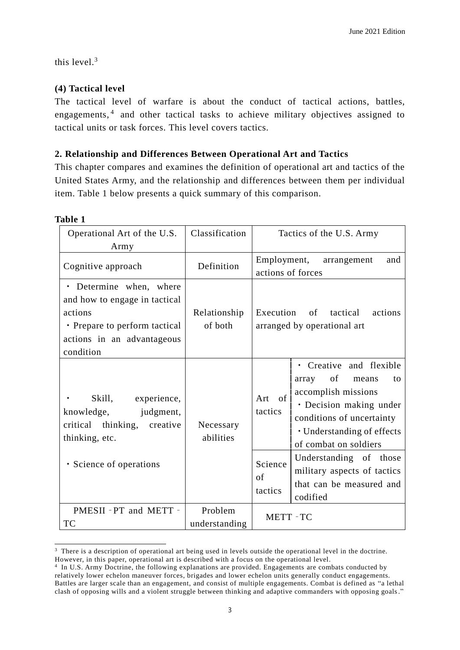this level. 3

#### **(4) Tactical level**

The tactical level of warfare is about the conduct of tactical actions, battles, engagements,<sup>4</sup> and other tactical tasks to achieve military objectives assigned to tactical units or task forces. This level covers tactics.

#### **2. Relationship and Differences Between Operational Art and Tactics**

This chapter compares and examines the definition of operational art and tactics of the United States Army, and the relationship and differences between them per individual item. Table 1 below presents a quick summary of this comparison.

| ۱n۱<br>и |
|----------|
|----------|

l

| Operational Art of the U.S.<br>Army                                                                                                             | Classification           | Tactics of the U.S. Army                                                                                                                                                                                      |  |
|-------------------------------------------------------------------------------------------------------------------------------------------------|--------------------------|---------------------------------------------------------------------------------------------------------------------------------------------------------------------------------------------------------------|--|
| Cognitive approach                                                                                                                              | Definition               | Employment, arrangement<br>and<br>actions of forces                                                                                                                                                           |  |
| • Determine when, where<br>and how to engage in tactical<br>actions<br>• Prepare to perform tactical<br>actions in an advantageous<br>condition | Relationship<br>of both  | Execution of tactical<br>actions<br>arranged by operational art                                                                                                                                               |  |
| Skill, experience,<br>knowledge, judgment,<br>critical thinking, creative<br>thinking, etc.                                                     | Necessary<br>abilities   | · Creative and flexible<br>array of means<br>to<br>accomplish missions<br>of<br>Art<br>• Decision making under<br>tactics<br>conditions of uncertainty<br>· Understanding of effects<br>of combat on soldiers |  |
| · Science of operations                                                                                                                         |                          | Understanding of those<br>Science<br>military aspects of tactics<br>of<br>that can be measured and<br>tactics<br>codified                                                                                     |  |
| PMESII - PT and METT -<br>TC                                                                                                                    | Problem<br>understanding | METT-TC                                                                                                                                                                                                       |  |

<sup>&</sup>lt;sup>3</sup> There is a description of operational art being used in levels outside the operational level in the doctrine.

However, in this paper, operational art is described with a focus on the operational level.

<sup>4</sup> In U.S. Army Doctrine, the following explanations are provided. Engagements are combats conducted by relatively lower echelon maneuver forces, brigades and lower echelon units generally conduct engagements. Battles are larger scale than an engagement, and consist of multiple engagements. Combat is defined as "a lethal clash of opposing wills and a violent struggle between thinking and adaptive commanders with opposing goals."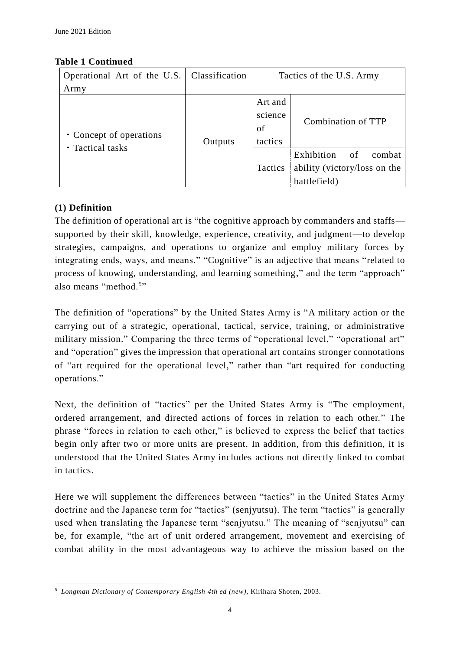## **Table 1 Continued**

| Operational Art of the U.S.                 | Classification | Tactics of the U.S. Army            |                                                                            |
|---------------------------------------------|----------------|-------------------------------------|----------------------------------------------------------------------------|
| Army                                        |                |                                     |                                                                            |
| • Concept of operations<br>• Tactical tasks | Outputs        | Art and<br>science<br>of<br>tactics | Combination of TTP                                                         |
|                                             |                | Tactics                             | Exhibition<br>of<br>combat<br>ability (victory/loss on the<br>battlefield) |

## **(1) Definition**

The definition of operational art is "the cognitive approach by commanders and staffs supported by their skill, knowledge, experience, creativity, and judgment—to develop strategies, campaigns, and operations to organize and employ military forces by integrating ends, ways, and means." "Cognitive" is an adjective that means "related to process of knowing, understanding, and learning something," and the term "approach" also means "method.<sup>5</sup>"

The definition of "operations" by the United States Army is "A military action or the carrying out of a strategic, operational, tactical, service, training, or administrative military mission." Comparing the three terms of "operational level," "operational art" and "operation" gives the impression that operational art contains stronger connotations of "art required for the operational level," rather than "art required for conducting operations."

Next, the definition of "tactics" per the United States Army is "The employment, ordered arrangement, and directed actions of forces in relation to each other." The phrase "forces in relation to each other," is believed to express the belief that tactics begin only after two or more units are present. In addition, from this definition, it is understood that the United States Army includes actions not directly linked to combat in tactics.

Here we will supplement the differences between "tactics" in the United States Army doctrine and the Japanese term for "tactics" (senjyutsu). The term "tactics" is generally used when translating the Japanese term "senjyutsu." The meaning of "senjyutsu" can be, for example, "the art of unit ordered arrangement, movement and exercising of combat ability in the most advantageous way to achieve the mission based on the

l <sup>5</sup> *Longman Dictionary of Contemporary English 4th ed (new),* Kirihara Shoten, 2003.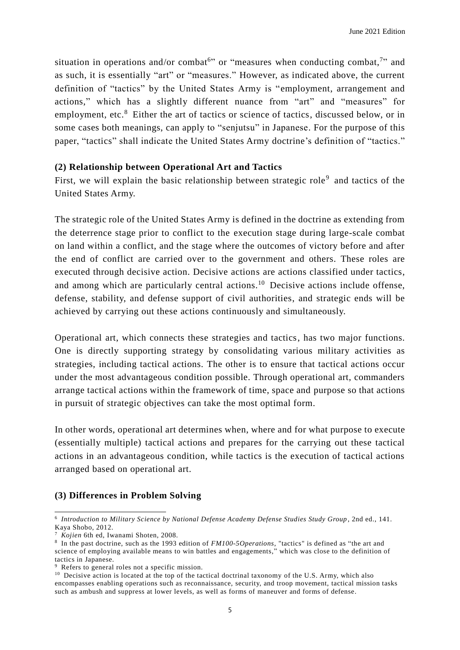situation in operations and/or combat<sup>6</sup> or "measures when conducting combat,<sup>7</sup> and as such, it is essentially "art" or "measures." However, as indicated above, the current definition of "tactics" by the United States Army is "employment, arrangement and actions," which has a slightly different nuance from "art" and "measures" for employment, etc.<sup>8</sup> Either the art of tactics or science of tactics, discussed below, or in some cases both meanings, can apply to "senjutsu" in Japanese. For the purpose of this paper, "tactics" shall indicate the United States Army doctrine's definition of "tactics."

#### **(2) Relationship between Operational Art and Tactics**

First, we will explain the basic relationship between strategic role<sup>9</sup> and tactics of the United States Army.

The strategic role of the United States Army is defined in the doctrine as extending from the deterrence stage prior to conflict to the execution stage during large-scale combat on land within a conflict, and the stage where the outcomes of victory before and after the end of conflict are carried over to the government and others. These roles are executed through decisive action. Decisive actions are actions classified under tactics, and among which are particularly central actions.<sup>10</sup> Decisive actions include offense, defense, stability, and defense support of civil authorities, and strategic ends will be achieved by carrying out these actions continuously and simultaneously.

Operational art, which connects these strategies and tactics, has two major functions. One is directly supporting strategy by consolidating various military activities as strategies, including tactical actions. The other is to ensure that tactical actions occur under the most advantageous condition possible. Through operational art, commanders arrange tactical actions within the framework of time, space and purpose so that actions in pursuit of strategic objectives can take the most optimal form.

In other words, operational art determines when, where and for what purpose to execute (essentially multiple) tactical actions and prepares for the carrying out these tactical actions in an advantageous condition, while tactics is the execution of tactical actions arranged based on operational art.

#### **(3) Differences in Problem Solving**

<sup>&</sup>lt;sup>6</sup> Introduction to Military Science by National Defense Academy Defense Studies Study Group, 2nd ed., 141. Kaya Shobo, 2012.

<sup>7</sup> *Kojien* 6th ed, Iwanami Shoten, 2008.

<sup>8</sup> In the past doctrine, such as the 1993 edition of *FM100-5Operations*, "tactics" is defined as "the art and science of employing available means to win battles and engagements," which was close to the definition of tactics in Japanese.

<sup>&</sup>lt;sup>9</sup> Refers to general roles not a specific mission.

<sup>&</sup>lt;sup>10</sup> Decisive action is located at the top of the tactical doctrinal taxonomy of the U.S. Army, which also encompasses enabling operations such as reconnaissance, security, and troop movement, tactical mission tasks such as ambush and suppress at lower levels, as well as forms of maneuver and forms of defense.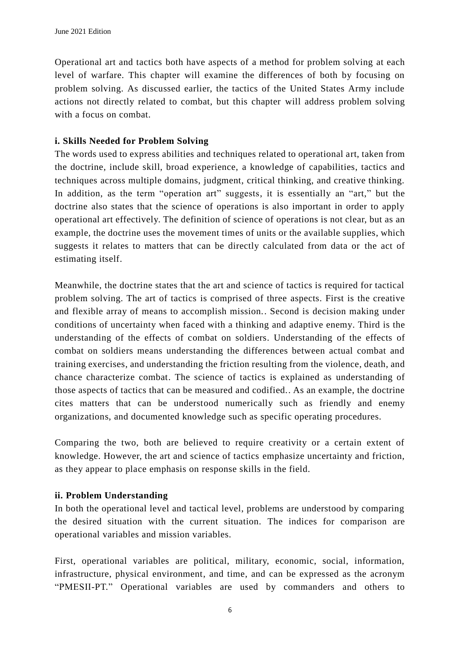Operational art and tactics both have aspects of a method for problem solving at each level of warfare. This chapter will examine the differences of both by focusing on problem solving. As discussed earlier, the tactics of the United States Army include actions not directly related to combat, but this chapter will address problem solving with a focus on combat.

## **i. Skills Needed for Problem Solving**

The words used to express abilities and techniques related to operational art, taken from the doctrine, include skill, broad experience, a knowledge of capabilities, tactics and techniques across multiple domains, judgment, critical thinking, and creative thinking. In addition, as the term "operation art" suggests, it is essentially an "art," but the doctrine also states that the science of operations is also important in order to apply operational art effectively. The definition of science of operations is not clear, but as an example, the doctrine uses the movement times of units or the available supplies, which suggests it relates to matters that can be directly calculated from data or the act of estimating itself.

Meanwhile, the doctrine states that the art and science of tactics is required for tactical problem solving. The art of tactics is comprised of three aspects. First is the creative and flexible array of means to accomplish mission.. Second is decision making under conditions of uncertainty when faced with a thinking and adaptive enemy. Third is the understanding of the effects of combat on soldiers. Understanding of the effects of combat on soldiers means understanding the differences between actual combat and training exercises, and understanding the friction resulting from the violence, death, and chance characterize combat. The science of tactics is explained as understanding of those aspects of tactics that can be measured and codified.. As an example, the doctrine cites matters that can be understood numerically such as friendly and enemy organizations, and documented knowledge such as specific operating procedures.

Comparing the two, both are believed to require creativity or a certain extent of knowledge. However, the art and science of tactics emphasize uncertainty and friction, as they appear to place emphasis on response skills in the field.

#### **ii. Problem Understanding**

In both the operational level and tactical level, problems are understood by comparing the desired situation with the current situation. The indices for comparison are operational variables and mission variables.

First, operational variables are political, military, economic, social, information, infrastructure, physical environment, and time, and can be expressed as the acronym "PMESII-PT." Operational variables are used by commanders and others to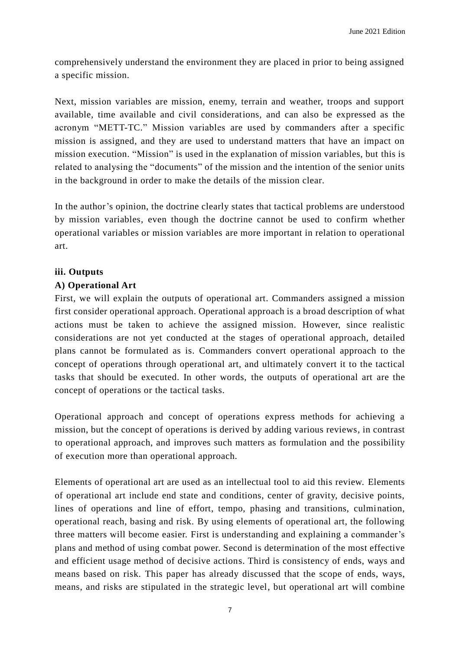comprehensively understand the environment they are placed in prior to being assigned a specific mission.

Next, mission variables are mission, enemy, terrain and weather, troops and support available, time available and civil considerations, and can also be expressed as the acronym "METT-TC." Mission variables are used by commanders after a specific mission is assigned, and they are used to understand matters that have an impact on mission execution. "Mission" is used in the explanation of mission variables, but this is related to analysing the "documents" of the mission and the intention of the senior units in the background in order to make the details of the mission clear.

In the author's opinion, the doctrine clearly states that tactical problems are understood by mission variables, even though the doctrine cannot be used to confirm whether operational variables or mission variables are more important in relation to operational art.

#### **iii. Outputs**

#### **A) Operational Art**

First, we will explain the outputs of operational art. Commanders assigned a mission first consider operational approach. Operational approach is a broad description of what actions must be taken to achieve the assigned mission. However, since realistic considerations are not yet conducted at the stages of operational approach, detailed plans cannot be formulated as is. Commanders convert operational approach to the concept of operations through operational art, and ultimately convert it to the tactical tasks that should be executed. In other words, the outputs of operational art are the concept of operations or the tactical tasks.

Operational approach and concept of operations express methods for achieving a mission, but the concept of operations is derived by adding various reviews, in contrast to operational approach, and improves such matters as formulation and the possibility of execution more than operational approach.

Elements of operational art are used as an intellectual tool to aid this review. Elements of operational art include end state and conditions, center of gravity, decisive points, lines of operations and line of effort, tempo, phasing and transitions, culmination, operational reach, basing and risk. By using elements of operational art, the following three matters will become easier. First is understanding and explaining a commander's plans and method of using combat power. Second is determination of the most effective and efficient usage method of decisive actions. Third is consistency of ends, ways and means based on risk. This paper has already discussed that the scope of ends, ways, means, and risks are stipulated in the strategic level, but operational art will combine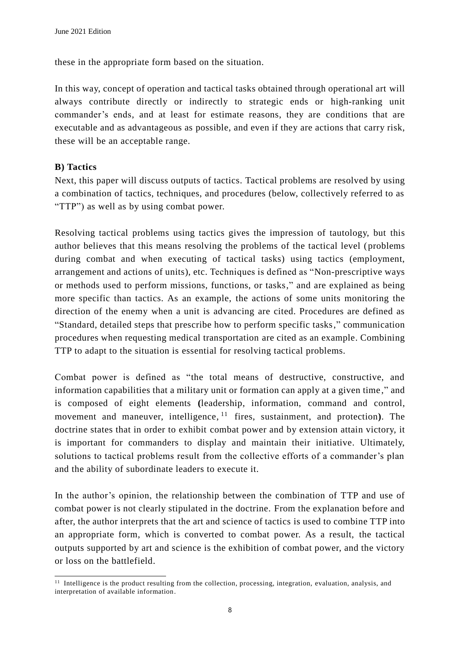these in the appropriate form based on the situation.

In this way, concept of operation and tactical tasks obtained through operational art will always contribute directly or indirectly to strategic ends or high-ranking unit commander's ends, and at least for estimate reasons, they are conditions that are executable and as advantageous as possible, and even if they are actions that carry risk, these will be an acceptable range.

## **B) Tactics**

l

Next, this paper will discuss outputs of tactics. Tactical problems are resolved by using a combination of tactics, techniques, and procedures (below, collectively referred to as "TTP") as well as by using combat power.

Resolving tactical problems using tactics gives the impression of tautology, but this author believes that this means resolving the problems of the tactical level (problems during combat and when executing of tactical tasks) using tactics (employment, arrangement and actions of units), etc. Techniques is defined as "Non-prescriptive ways or methods used to perform missions, functions, or tasks," and are explained as being more specific than tactics. As an example, the actions of some units monitoring the direction of the enemy when a unit is advancing are cited. Procedures are defined as "Standard, detailed steps that prescribe how to perform specific tasks," communication procedures when requesting medical transportation are cited as an example. Combining TTP to adapt to the situation is essential for resolving tactical problems.

Combat power is defined as "the total means of destructive, constructive, and information capabilities that a military unit or formation can apply at a given time ," and is composed of eight elements **(**leadership, information, command and control, movement and maneuver, intelligence, <sup>11</sup> fires, sustainment, and protection**)**. The doctrine states that in order to exhibit combat power and by extension attain victory, it is important for commanders to display and maintain their initiative. Ultimately, solutions to tactical problems result from the collective efforts of a commander's plan and the ability of subordinate leaders to execute it.

In the author's opinion, the relationship between the combination of TTP and use of combat power is not clearly stipulated in the doctrine. From the explanation before and after, the author interprets that the art and science of tactics is used to combine TTP into an appropriate form, which is converted to combat power. As a result, the tactical outputs supported by art and science is the exhibition of combat power, and the victory or loss on the battlefield.

<sup>&</sup>lt;sup>11</sup> Intelligence is the product resulting from the collection, processing, integration, evaluation, analysis, and interpretation of available information.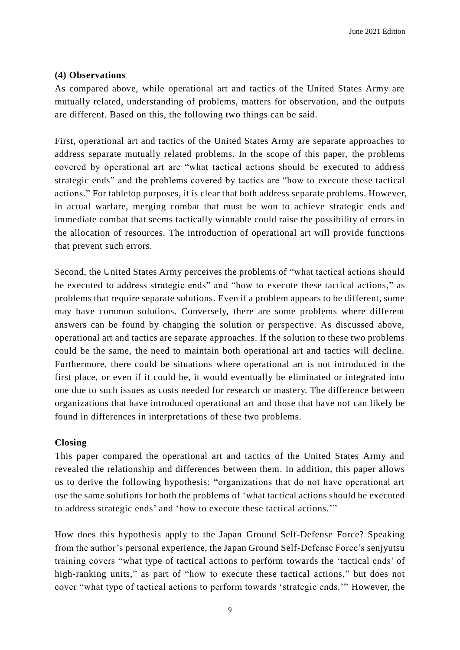#### **(4) Observations**

As compared above, while operational art and tactics of the United States Army are mutually related, understanding of problems, matters for observation, and the outputs are different. Based on this, the following two things can be said.

First, operational art and tactics of the United States Army are separate approaches to address separate mutually related problems. In the scope of this paper, the problems covered by operational art are "what tactical actions should be executed to address strategic ends" and the problems covered by tactics are "how to execute these tactical actions." For tabletop purposes, it is clear that both address separate problems. However, in actual warfare, merging combat that must be won to achieve strategic ends and immediate combat that seems tactically winnable could raise the possibility of errors in the allocation of resources. The introduction of operational art will provide functions that prevent such errors.

Second, the United States Army perceives the problems of "what tactical actions should be executed to address strategic ends" and "how to execute these tactical actions," as problems that require separate solutions. Even if a problem appears to be different, some may have common solutions. Conversely, there are some problems where different answers can be found by changing the solution or perspective. As discussed above, operational art and tactics are separate approaches. If the solution to these two problems could be the same, the need to maintain both operational art and tactics will decline. Furthermore, there could be situations where operational art is not introduced in the first place, or even if it could be, it would eventually be eliminated or integrated into one due to such issues as costs needed for research or mastery. The difference between organizations that have introduced operational art and those that have not can likely be found in differences in interpretations of these two problems.

#### **Closing**

This paper compared the operational art and tactics of the United States Army and revealed the relationship and differences between them. In addition, this paper allows us to derive the following hypothesis: "organizations that do not have operational art use the same solutions for both the problems of 'what tactical actions should be executed to address strategic ends' and 'how to execute these tactical actions.'"

How does this hypothesis apply to the Japan Ground Self-Defense Force? Speaking from the author's personal experience, the Japan Ground Self-Defense Force's senjyutsu training covers "what type of tactical actions to perform towards the 'tactical ends' of high-ranking units," as part of "how to execute these tactical actions," but does not cover "what type of tactical actions to perform towards 'strategic ends.'" However, the